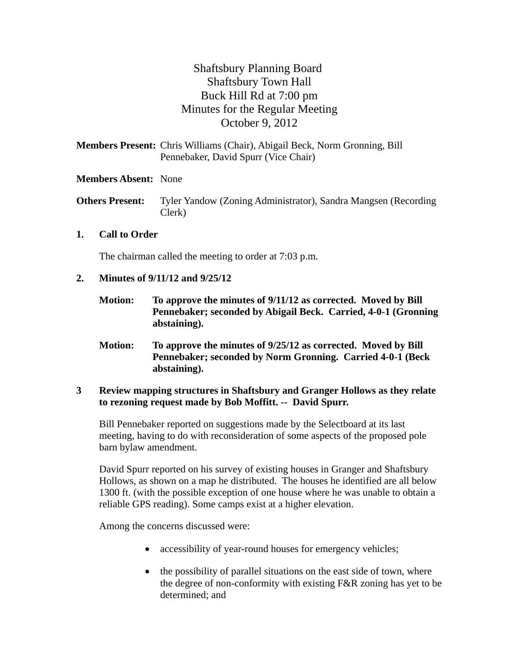# Shaftsbury Planning Board Shaftsbury Town Hall Buck Hill Rd at 7:00 pm Minutes for the Regular Meeting October 9, 2012

**Members Present:** Chris Williams (Chair), Abigail Beck, Norm Gronning, Bill Pennebaker*,* David Spurr (Vice Chair)

# **Members Absent:** None

**Others Present:** Tyler Yandow (Zoning Administrator), Sandra Mangsen (Recording) Clerk)

# **1. Call to Order**

The chairman called the meeting to order at 7:03 p.m.

#### **2. Minutes of 9/11/12 and 9/25/12**

- **Motion: To approve the minutes of 9/11/12 as corrected. Moved by Bill Pennebaker; seconded by Abigail Beck. Carried, 4-0-1 (Gronning abstaining).**
- **Motion: To approve the minutes of 9/25/12 as corrected. Moved by Bill Pennebaker; seconded by Norm Gronning. Carried 4-0-1 (Beck abstaining).**

#### **3 Review mapping structures in Shaftsbury and Granger Hollows as they relate to rezoning request made by Bob Moffitt. -- David Spurr.**

Bill Pennebaker reported on suggestions made by the Selectboard at its last meeting, having to do with reconsideration of some aspects of the proposed pole barn bylaw amendment.

David Spurr reported on his survey of existing houses in Granger and Shaftsbury Hollows, as shown on a map he distributed. The houses he identified are all below 1300 ft. (with the possible exception of one house where he was unable to obtain a reliable GPS reading). Some camps exist at a higher elevation.

Among the concerns discussed were:

- accessibility of year-round houses for emergency vehicles;
- the possibility of parallel situations on the east side of town, where the degree of non-conformity with existing F&R zoning has yet to be determined; and